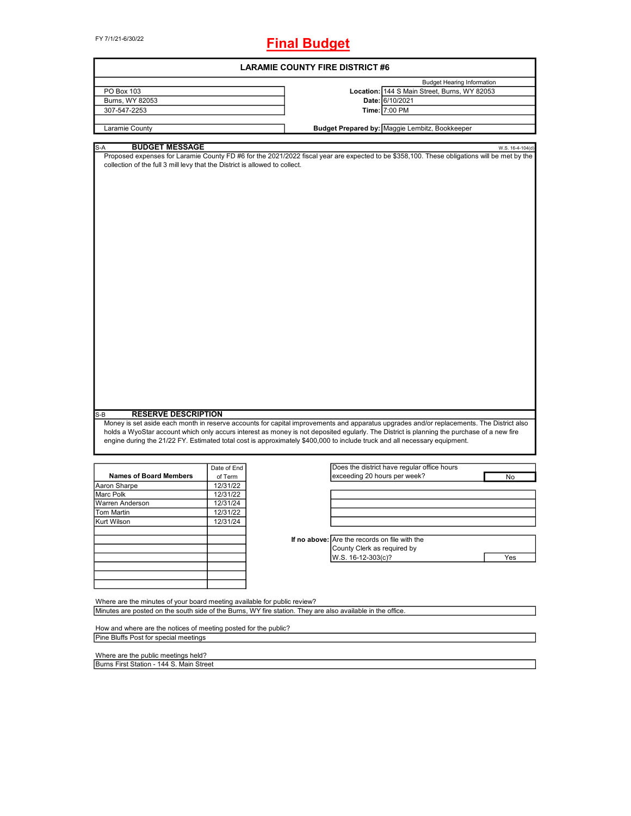FY 7/1/21-6/30/22

# **Final Budget**

|                                                                                                                                                                                                                                 |             | <b>LARAMIE COUNTY FIRE DISTRICT #6</b>                                                                                                                                                                                                                                                                                                                                                                              |  |  |  |  |  |
|---------------------------------------------------------------------------------------------------------------------------------------------------------------------------------------------------------------------------------|-------------|---------------------------------------------------------------------------------------------------------------------------------------------------------------------------------------------------------------------------------------------------------------------------------------------------------------------------------------------------------------------------------------------------------------------|--|--|--|--|--|
|                                                                                                                                                                                                                                 |             | <b>Budget Hearing Information</b>                                                                                                                                                                                                                                                                                                                                                                                   |  |  |  |  |  |
| PO Box 103                                                                                                                                                                                                                      |             | Location: 144 S Main Street, Burns, WY 82053                                                                                                                                                                                                                                                                                                                                                                        |  |  |  |  |  |
| Burns, WY 82053                                                                                                                                                                                                                 |             | Date: 6/10/2021                                                                                                                                                                                                                                                                                                                                                                                                     |  |  |  |  |  |
| 307-547-2253                                                                                                                                                                                                                    |             | Time: 7:00 PM                                                                                                                                                                                                                                                                                                                                                                                                       |  |  |  |  |  |
|                                                                                                                                                                                                                                 |             |                                                                                                                                                                                                                                                                                                                                                                                                                     |  |  |  |  |  |
| Laramie County                                                                                                                                                                                                                  |             | Budget Prepared by: Maggie Lembitz, Bookkeeper                                                                                                                                                                                                                                                                                                                                                                      |  |  |  |  |  |
| <b>BUDGET MESSAGE</b><br>S-A                                                                                                                                                                                                    |             | W.S. 16-4-104(d)                                                                                                                                                                                                                                                                                                                                                                                                    |  |  |  |  |  |
| collection of the full 3 mill levy that the District is allowed to collect.                                                                                                                                                     |             | Proposed expenses for Laramie County FD #6 for the 2021/2022 fiscal year are expected to be \$358,100. These obligations will be met by the                                                                                                                                                                                                                                                                         |  |  |  |  |  |
|                                                                                                                                                                                                                                 |             |                                                                                                                                                                                                                                                                                                                                                                                                                     |  |  |  |  |  |
| <b>RESERVE DESCRIPTION</b>                                                                                                                                                                                                      |             | Money is set aside each month in reserve accounts for capital improvements and apparatus upgrades and/or replacements. The District also<br>holds a WyoStar account which only accurs interest as money is not deposited egularly. The District is planning the purchase of a new fire<br>engine during the 21/22 FY. Estimated total cost is approximately \$400,000 to include truck and all necessary equipment. |  |  |  |  |  |
|                                                                                                                                                                                                                                 | Date of End | Does the district have regular office hours                                                                                                                                                                                                                                                                                                                                                                         |  |  |  |  |  |
| <b>Names of Board Members</b>                                                                                                                                                                                                   | of Term     | exceeding 20 hours per week?<br>No                                                                                                                                                                                                                                                                                                                                                                                  |  |  |  |  |  |
|                                                                                                                                                                                                                                 | 12/31/22    |                                                                                                                                                                                                                                                                                                                                                                                                                     |  |  |  |  |  |
|                                                                                                                                                                                                                                 | 12/31/22    |                                                                                                                                                                                                                                                                                                                                                                                                                     |  |  |  |  |  |
|                                                                                                                                                                                                                                 | 12/31/24    |                                                                                                                                                                                                                                                                                                                                                                                                                     |  |  |  |  |  |
|                                                                                                                                                                                                                                 | 12/31/22    |                                                                                                                                                                                                                                                                                                                                                                                                                     |  |  |  |  |  |
|                                                                                                                                                                                                                                 | 12/31/24    |                                                                                                                                                                                                                                                                                                                                                                                                                     |  |  |  |  |  |
|                                                                                                                                                                                                                                 |             |                                                                                                                                                                                                                                                                                                                                                                                                                     |  |  |  |  |  |
|                                                                                                                                                                                                                                 |             | If no above: Are the records on file with the                                                                                                                                                                                                                                                                                                                                                                       |  |  |  |  |  |
|                                                                                                                                                                                                                                 |             | County Clerk as required by                                                                                                                                                                                                                                                                                                                                                                                         |  |  |  |  |  |
|                                                                                                                                                                                                                                 |             | W.S. 16-12-303(c)?<br>Yes                                                                                                                                                                                                                                                                                                                                                                                           |  |  |  |  |  |
|                                                                                                                                                                                                                                 |             |                                                                                                                                                                                                                                                                                                                                                                                                                     |  |  |  |  |  |
| S-B                                                                                                                                                                                                                             |             |                                                                                                                                                                                                                                                                                                                                                                                                                     |  |  |  |  |  |
|                                                                                                                                                                                                                                 |             |                                                                                                                                                                                                                                                                                                                                                                                                                     |  |  |  |  |  |
|                                                                                                                                                                                                                                 |             |                                                                                                                                                                                                                                                                                                                                                                                                                     |  |  |  |  |  |
|                                                                                                                                                                                                                                 |             | Minutes are posted on the south side of the Burns, WY fire station. They are also available in the office.                                                                                                                                                                                                                                                                                                          |  |  |  |  |  |
|                                                                                                                                                                                                                                 |             |                                                                                                                                                                                                                                                                                                                                                                                                                     |  |  |  |  |  |
| Aaron Sharpe<br><b>Marc Polk</b><br>Warren Anderson<br>Tom Martin<br>Kurt Wilson<br>Where are the minutes of your board meeting available for public review?<br>How and where are the notices of meeting posted for the public? |             |                                                                                                                                                                                                                                                                                                                                                                                                                     |  |  |  |  |  |
| Pine Bluffs Post for special meetings                                                                                                                                                                                           |             |                                                                                                                                                                                                                                                                                                                                                                                                                     |  |  |  |  |  |

 $\overline{\phantom{0}}$ 

Burns First Station - 144 S. Main Street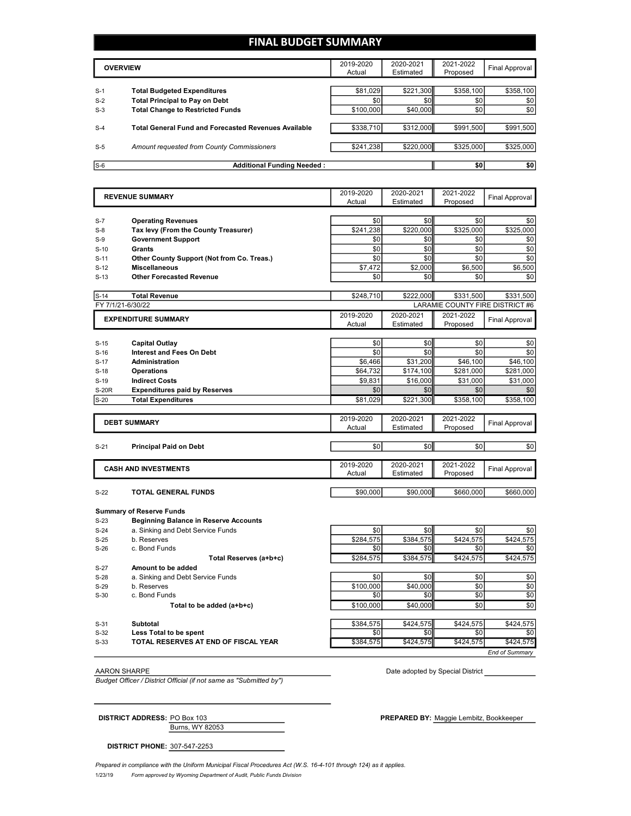# **FINAL BUDGET SUMMARY**

|       | <b>OVERVIEW</b>                                             |           | 2020-2021<br>Estimated | 2021-2022<br>Proposed | Final Approval |
|-------|-------------------------------------------------------------|-----------|------------------------|-----------------------|----------------|
|       |                                                             |           |                        |                       |                |
| $S-1$ | <b>Total Budgeted Expenditures</b>                          | \$81,029  | \$221,300              | \$358,100             | \$358,100      |
| $S-2$ | <b>Total Principal to Pay on Debt</b>                       | \$0       | \$0                    | \$0                   | \$0            |
| $S-3$ | <b>Total Change to Restricted Funds</b>                     | \$100,000 | \$40,000               | \$0                   | \$0            |
|       |                                                             |           |                        |                       |                |
| $S-4$ | <b>Total General Fund and Forecasted Revenues Available</b> | \$338,710 | \$312,000              | \$991,500             | \$991,500      |
|       |                                                             |           |                        |                       |                |
| $S-5$ | Amount requested from County Commissioners                  | \$241,238 | \$220,000              | \$325,000             | \$325,000      |
|       |                                                             |           |                        |                       |                |
| $S-6$ | <b>Additional Funding Needed:</b>                           |           |                        | \$0                   | \$0            |

|              | <b>REVENUE SUMMARY</b>                                             | 2019-2020<br>Actual | 2020-2021<br>Estimated | 2021-2022<br>Proposed           | Final Approval        |
|--------------|--------------------------------------------------------------------|---------------------|------------------------|---------------------------------|-----------------------|
|              |                                                                    | \$0                 | \$0                    | \$0                             |                       |
| $S-7$        | <b>Operating Revenues</b>                                          |                     | \$220,000              | \$325,000                       | \$0<br>\$325,000      |
| $S-8$        | Tax levy (From the County Treasurer)<br><b>Government Support</b>  | \$241,238<br>\$0    | \$0                    | \$0                             | \$0                   |
| $S-9$        |                                                                    | \$0                 |                        |                                 |                       |
| $S-10$       | Grants                                                             | \$0                 | \$0<br>\$0             | \$0<br>\$0                      | \$0                   |
| $S-11$       | Other County Support (Not from Co. Treas.)<br><b>Miscellaneous</b> |                     | \$2,000                | \$6,500                         | \$0                   |
| $S-12$       |                                                                    | \$7,472             | \$0                    | \$0                             | \$6,500               |
| $S-13$       | <b>Other Forecasted Revenue</b>                                    | \$0                 |                        |                                 | \$0                   |
| $S-14$       | <b>Total Revenue</b>                                               | \$248,710           | \$222,000              | \$331,500                       | \$331,500             |
|              | FY 7/1/21-6/30/22                                                  |                     |                        | LARAMIE COUNTY FIRE DISTRICT #6 |                       |
|              | <b>EXPENDITURE SUMMARY</b>                                         | 2019-2020           | 2020-2021              | 2021-2022                       | <b>Final Approval</b> |
|              |                                                                    | Actual              | Estimated              | Proposed                        |                       |
| $S-15$       | <b>Capital Outlay</b>                                              | \$0                 | \$0                    | \$0                             | \$0                   |
| $S-16$       | <b>Interest and Fees On Debt</b>                                   | \$0                 | \$0                    | \$0                             | \$0                   |
| $S-17$       | <b>Administration</b>                                              | \$6,466             | \$31,200               | \$46,100                        | \$46,100              |
| $S-18$       | <b>Operations</b>                                                  | \$64,732            | \$174,100              | \$281,000                       | \$281,000             |
| $S-19$       | <b>Indirect Costs</b>                                              | \$9,831             | \$16,000               | \$31,000                        | \$31,000              |
| <b>S-20R</b> | <b>Expenditures paid by Reserves</b>                               | \$0                 | \$0                    | \$0                             | \$0                   |
| $S-20$       | <b>Total Expenditures</b>                                          | \$81,029            | \$221,300              | \$358,100                       | \$358,100             |
|              |                                                                    |                     |                        |                                 |                       |
|              | <b>DEBT SUMMARY</b>                                                | 2019-2020<br>Actual | 2020-2021<br>Estimated | 2021-2022<br>Proposed           | <b>Final Approval</b> |
|              |                                                                    |                     |                        |                                 |                       |
| $S-21$       | <b>Principal Paid on Debt</b>                                      | \$0                 | \$0                    | \$0                             | \$0                   |
|              |                                                                    |                     |                        |                                 |                       |
|              | <b>CASH AND INVESTMENTS</b>                                        | 2019-2020           | 2020-2021              | 2021-2022                       | <b>Final Approval</b> |
|              |                                                                    | Actual              | Estimated              | Proposed                        |                       |
| $S-22$       | TOTAL GENERAL FUNDS                                                | \$90,000            | \$90,000               | \$660,000                       | \$660,000             |
|              |                                                                    |                     |                        |                                 |                       |
| $S-23$       | <b>Summary of Reserve Funds</b>                                    |                     |                        |                                 |                       |
| $S-24$       | <b>Beginning Balance in Reserve Accounts</b>                       | \$0                 | \$0                    | \$0                             |                       |
| $S-25$       | a. Sinking and Debt Service Funds<br>b. Reserves                   | \$284,575           | \$384,575              | \$424,575                       | \$0<br>\$424,575      |
| $S-26$       | c. Bond Funds                                                      | \$0                 | \$0                    | \$0                             | \$0                   |
|              | Total Reserves (a+b+c)                                             | \$284,575           | \$384,575              | \$424,575                       | \$424,575             |
| $S-27$       | Amount to be added                                                 |                     |                        |                                 |                       |
| $S-28$       | a. Sinking and Debt Service Funds                                  | \$0                 | \$0                    | \$0                             | \$0                   |
| $S-29$       | b. Reserves                                                        | \$100.000           | \$40.000               | \$0                             | \$0                   |
| $S-30$       | c. Bond Funds                                                      | \$0                 | \$0                    | \$0                             | \$0                   |
|              |                                                                    |                     |                        |                                 |                       |
|              |                                                                    |                     |                        |                                 |                       |
|              | Total to be added (a+b+c)                                          | \$100,000           | \$40,000               | \$0                             | \$0                   |

**Less Total to be spent because the contract of the spent \$0 \$0 \$0 \$0 \$0 \$0 \$0** 

S-33 **TOTAL RESERVES AT END OF FISCAL YEAR** \$384,575 \$424,575 \$424,575 \$424,575

*Budget Officer / District Official (if not same as "Submitted by")*

AARON SHARPE **Date adopted by Special District Date adopted by Special District** 

Burns, WY 82053 **DISTRICT ADDRESS:** PO Box 103 **PREPARED BY:** Maggie Lembitz, Bookkeeper

*End of Summary*

**DISTRICT PHONE:** 307-547-2253

1/23/19 *Form approved by Wyoming Department of Audit, Public Funds Division Prepared in compliance with the Uniform Municipal Fiscal Procedures Act (W.S. 16-4-101 through 124) as it applies.*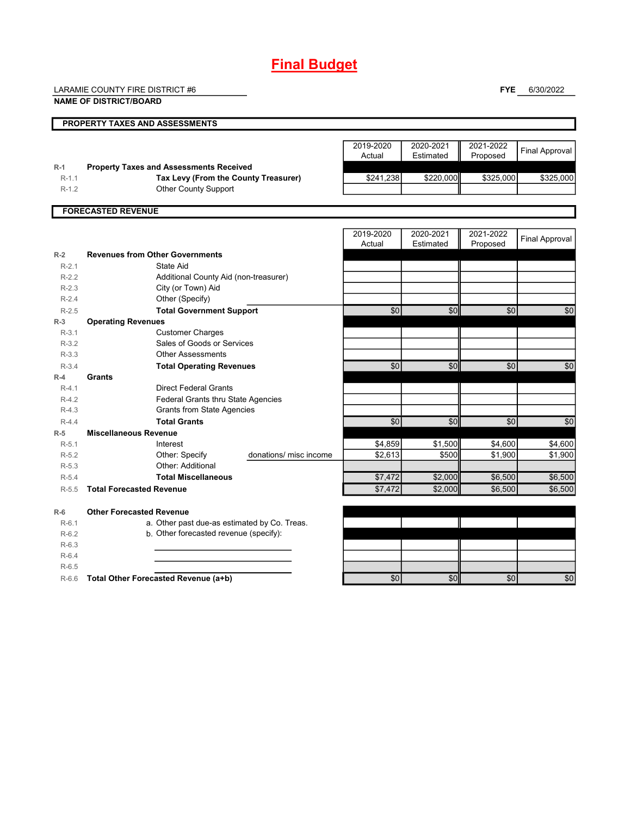# **Final Budget**

LARAMIE COUNTY FIRE DISTRICT #6

**FYE** 6/30/2022

|                    | <b>NAME OF DISTRICT/BOARD</b>                                       |                                   |                        |                       |                       |
|--------------------|---------------------------------------------------------------------|-----------------------------------|------------------------|-----------------------|-----------------------|
|                    | <b>PROPERTY TAXES AND ASSESSMENTS</b>                               |                                   |                        |                       |                       |
|                    |                                                                     | 2019-2020<br>Actual               | 2020-2021<br>Estimated | 2021-2022<br>Proposed | <b>Final Approval</b> |
| $R-1$              | <b>Property Taxes and Assessments Received</b>                      |                                   |                        |                       |                       |
| $R-1.1$<br>$R-1.2$ | Tax Levy (From the County Treasurer)<br><b>Other County Support</b> | \$241,238                         | \$220,000              | \$325,000             | \$325,000             |
|                    |                                                                     |                                   |                        |                       |                       |
|                    | <b>FORECASTED REVENUE</b>                                           |                                   |                        |                       |                       |
|                    |                                                                     | 2019-2020<br>Actual               | 2020-2021<br>Estimated | 2021-2022<br>Proposed | <b>Final Approval</b> |
| $R-2$              | <b>Revenues from Other Governments</b>                              |                                   |                        |                       |                       |
| $R-2.1$            | State Aid                                                           |                                   |                        |                       |                       |
| $R-2.2$            | Additional County Aid (non-treasurer)                               |                                   |                        |                       |                       |
| $R-2.3$            | City (or Town) Aid                                                  |                                   |                        |                       |                       |
| $R-2.4$            | Other (Specify)                                                     |                                   |                        |                       |                       |
| $R-2.5$            | <b>Total Government Support</b>                                     | \$0                               | \$0                    | \$0                   | \$0                   |
| $R-3$              | <b>Operating Revenues</b>                                           |                                   |                        |                       |                       |
| $R-3.1$            | <b>Customer Charges</b>                                             |                                   |                        |                       |                       |
| $R-3.2$            | Sales of Goods or Services                                          |                                   |                        |                       |                       |
| $R-3.3$            | <b>Other Assessments</b>                                            |                                   | \$0                    | \$0                   |                       |
| $R-3.4$<br>$R-4$   | <b>Total Operating Revenues</b><br>Grants                           | \$0                               |                        |                       | \$0                   |
| $R-4.1$            | <b>Direct Federal Grants</b>                                        |                                   |                        |                       |                       |
| $R-4.2$            | Federal Grants thru State Agencies                                  |                                   |                        |                       |                       |
| $R-4.3$            | <b>Grants from State Agencies</b>                                   |                                   |                        |                       |                       |
| $R-4.4$            | <b>Total Grants</b>                                                 | \$0                               | \$0                    | \$0                   | \$0                   |
| $R-5$              | <b>Miscellaneous Revenue</b>                                        |                                   |                        |                       |                       |
| $R-5.1$            | Interest                                                            | \$4,859                           | \$1,500                | \$4,600               | \$4,600               |
| $R-5.2$            | Other: Specify                                                      | donations/ misc income<br>\$2,613 | \$500                  | \$1,900               | \$1,900               |
| $R-5.3$            | Other: Additional                                                   |                                   |                        |                       |                       |
| $R-5.4$            | <b>Total Miscellaneous</b>                                          | \$7,472                           | \$2,000                | \$6,500               | \$6,500               |
| $R-5.5$            | <b>Total Forecasted Revenue</b>                                     | \$7,472                           | \$2,000                | \$6,500               | \$6,500               |
| $R-6$              | <b>Other Forecasted Revenue</b>                                     |                                   |                        |                       |                       |
| $R-6.1$            | a. Other past due-as estimated by Co. Treas.                        |                                   |                        |                       |                       |
| $R-6.2$            | b. Other forecasted revenue (specify):                              |                                   |                        |                       |                       |
| $R-6.3$            |                                                                     |                                   |                        |                       |                       |
| $R-6.4$            |                                                                     |                                   |                        |                       |                       |
| $R-6.5$            |                                                                     |                                   |                        |                       |                       |
| $R-6.6$            | Total Other Forecasted Revenue (a+b)                                | \$0                               | \$0                    | \$0                   | \$0                   |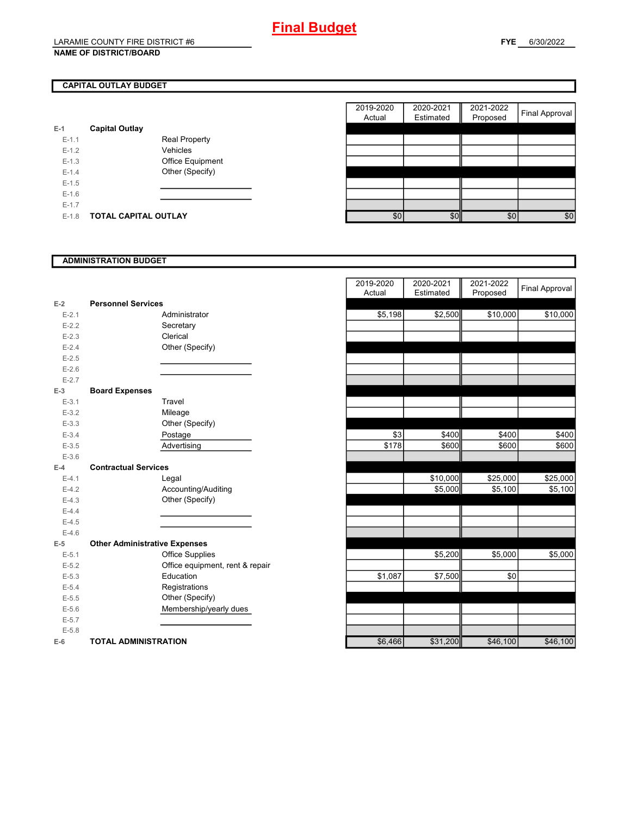# **CAPITAL OUTLAY BUDGET**

| $E-1$     | <b>Capital Outlay</b> |                         |
|-----------|-----------------------|-------------------------|
| $E - 1.1$ |                       | <b>Real Property</b>    |
| $E - 1.2$ |                       | Vehicles                |
| $E - 1.3$ |                       | <b>Office Equipment</b> |
| $F-14$    |                       | Other (Specify)         |
| $F-1.5$   |                       |                         |
| $E-1.6$   |                       |                         |
| $E - 1.7$ |                       |                         |
| E-1.8     | TOTAL CAPITAL OUTLAY  |                         |

|         |                             |                      | 2019-2020 | 2020-2021 | 2021-2022 | <b>Final Approval</b> |
|---------|-----------------------------|----------------------|-----------|-----------|-----------|-----------------------|
|         |                             |                      | Actual    | Estimated | Proposed  |                       |
|         | <b>Capital Outlay</b>       |                      |           |           |           |                       |
| $E-1.1$ |                             | <b>Real Property</b> |           |           |           |                       |
| $E-1.2$ |                             | Vehicles             |           |           |           |                       |
| $E-1.3$ |                             | Office Equipment     |           |           |           |                       |
| $E-1.4$ |                             | Other (Specify)      |           |           |           |                       |
| $E-1.5$ |                             |                      |           |           |           |                       |
| $E-1.6$ |                             |                      |           |           |           |                       |
| $E-1.7$ |                             |                      |           |           |           |                       |
| $E-1.8$ | <b>TOTAL CAPITAL OUTLAY</b> |                      | \$0       | \$0       | \$0       | \$0                   |

#### **ADMINISTRATION BUDGET**

|           |                                      |                                 | Actual  | Esumated | Proposed |
|-----------|--------------------------------------|---------------------------------|---------|----------|----------|
| $E-2$     | <b>Personnel Services</b>            |                                 |         |          |          |
| $E - 2.1$ |                                      | Administrator                   | \$5,198 | \$2,500  | \$10,000 |
| $E-2.2$   |                                      | Secretary                       |         |          |          |
| $E-2.3$   |                                      | Clerical                        |         |          |          |
| $E-2.4$   |                                      | Other (Specify)                 |         |          |          |
| $E - 2.5$ |                                      |                                 |         |          |          |
| $E-2.6$   |                                      |                                 |         |          |          |
| $E - 2.7$ |                                      |                                 |         |          |          |
| $E-3$     | <b>Board Expenses</b>                |                                 |         |          |          |
| $E - 3.1$ |                                      | Travel                          |         |          |          |
| $E - 3.2$ |                                      | Mileage                         |         |          |          |
| $E-3.3$   |                                      | Other (Specify)                 |         |          |          |
| $E - 3.4$ |                                      | Postage                         | \$3     | \$400    | \$400    |
| $E - 3.5$ |                                      | Advertising                     | \$178   | \$600    | \$600    |
| $E - 3.6$ |                                      |                                 |         |          |          |
| $E-4$     | <b>Contractual Services</b>          |                                 |         |          |          |
| $E - 4.1$ |                                      | Legal                           |         | \$10,000 | \$25,000 |
| $E-4.2$   |                                      | Accounting/Auditing             |         | \$5,000  | \$5,100  |
| $E-4.3$   |                                      | Other (Specify)                 |         |          |          |
| $E-4.4$   |                                      |                                 |         |          |          |
| $E-4.5$   |                                      |                                 |         |          |          |
| $E-4.6$   |                                      |                                 |         |          |          |
| $E-5$     | <b>Other Administrative Expenses</b> |                                 |         |          |          |
| $E - 5.1$ |                                      | <b>Office Supplies</b>          |         | \$5,200  | \$5,000  |
| $E-5.2$   |                                      | Office equipment, rent & repair |         |          |          |
| $E-5.3$   |                                      | Education                       | \$1,087 | \$7,500  | \$0      |
| $E - 5.4$ |                                      | Registrations                   |         |          |          |
| $E-5.5$   |                                      | Other (Specify)                 |         |          |          |
| $E - 5.6$ |                                      | Membership/yearly dues          |         |          |          |
| $E - 5.7$ |                                      |                                 |         |          |          |
| $E - 5.8$ |                                      |                                 |         |          |          |
| $E-6$     | <b>TOTAL ADMINISTRATION</b>          |                                 | \$6,466 | \$31,200 | \$46,100 |

|                                       |                                      | 2019-2020 | 2020-2021 | 2021-2022 | <b>Final Approval</b> |
|---------------------------------------|--------------------------------------|-----------|-----------|-----------|-----------------------|
|                                       | <b>Personnel Services</b>            | Actual    | Estimated | Proposed  |                       |
| 2<br>$E - 2.1$                        | Administrator                        | \$5,198   | \$2,500   | \$10,000  | \$10,000              |
| $E - 2.2$                             | Secretary                            |           |           |           |                       |
|                                       | Clerical                             |           |           |           |                       |
| $E - 2.3$                             |                                      |           |           |           |                       |
| $E - 2.4$                             | Other (Specify)                      |           |           |           |                       |
| $E-2.5$                               |                                      |           |           |           |                       |
| $E - 2.6$                             |                                      |           |           |           |                       |
| $E - 2.7$<br>$\overline{\phantom{0}}$ |                                      |           |           |           |                       |
|                                       | <b>Board Expenses</b>                |           |           |           |                       |
| $E - 3.1$                             | Travel                               |           |           |           |                       |
| $E - 3.2$                             | Mileage                              |           |           |           |                       |
| $E - 3.3$                             | Other (Specify)                      | \$3       |           | \$400     |                       |
| $E - 3.4$                             | Postage                              | \$178     | \$400     |           | \$400                 |
| $E-3.5$                               | Advertising                          |           | \$600     | \$600     | \$600                 |
| $E - 3.6$<br>ı.                       | <b>Contractual Services</b>          |           |           |           |                       |
| $E - 4.1$                             | Legal                                |           | \$10,000  | \$25,000  | \$25,000              |
| $E-4.2$                               | Accounting/Auditing                  |           | \$5,000   | \$5,100   | \$5,100               |
| $E - 4.3$                             | Other (Specify)                      |           |           |           |                       |
| $E - 4.4$                             |                                      |           |           |           |                       |
| $E - 4.5$                             |                                      |           |           |           |                       |
| $E - 4.6$                             |                                      |           |           |           |                       |
| 5                                     | <b>Other Administrative Expenses</b> |           |           |           |                       |
| $E - 5.1$                             | <b>Office Supplies</b>               |           | \$5,200   | \$5,000   | \$5,000               |
| $E - 5.2$                             | Office equipment, rent & repair      |           |           |           |                       |
| $E - 5.3$                             | Education                            | \$1,087   | \$7,500   | \$0       |                       |
| $E - 5.4$                             | Registrations                        |           |           |           |                       |
| $E - 5.5$                             | Other (Specify)                      |           |           |           |                       |
| $E - 5.6$                             | Membership/yearly dues               |           |           |           |                       |
| $E - 5.7$                             |                                      |           |           |           |                       |
| $E - 5.8$                             |                                      |           |           |           |                       |
| ŝ                                     | <b>TOTAL ADMINISTRATION</b>          | \$6,466   | \$31,200  | \$46,100  | \$46,100              |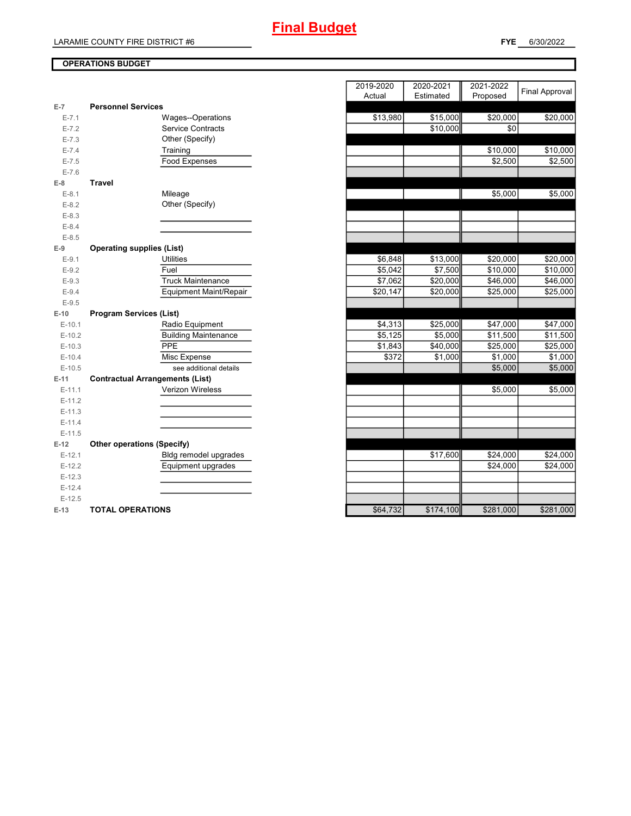# **Final Budget**

## **FYE** 6/30/2022

## **OPERATIONS BUDGET**

|           |                                        | nuuai    | Lournated <b>I</b> | <b>THOPOSE</b> U |
|-----------|----------------------------------------|----------|--------------------|------------------|
| $E-7$     | <b>Personnel Services</b>              |          |                    |                  |
| $E - 7.1$ | Wages--Operations                      | \$13,980 | \$15,000           | \$20,000         |
| $E - 7.2$ | <b>Service Contracts</b>               |          | \$10,000           | \$0              |
| $E - 7.3$ | Other (Specify)                        |          |                    |                  |
| $E - 7.4$ | Training                               |          |                    | \$10,000         |
| $E - 7.5$ | Food Expenses                          |          |                    | \$2,500          |
| $E - 7.6$ |                                        |          |                    |                  |
| $E-8$     | <b>Travel</b>                          |          |                    |                  |
| $E - 8.1$ | Mileage                                |          |                    | \$5,000          |
| $E - 8.2$ | Other (Specify)                        |          |                    |                  |
| $E-8.3$   |                                        |          |                    |                  |
| $E - 8.4$ |                                        |          |                    |                  |
| $E - 8.5$ |                                        |          |                    |                  |
| $E-9$     | <b>Operating supplies (List)</b>       |          |                    |                  |
| $E-9.1$   | <b>Utilities</b>                       | \$6,848  | \$13,000           | \$20,000         |
| $E-9.2$   | Fuel                                   | \$5,042  | \$7,500            | \$10,000         |
| $E-9.3$   | <b>Truck Maintenance</b>               | \$7,062  | \$20,000           | \$46,000         |
| $E-9.4$   | <b>Equipment Maint/Repair</b>          | \$20,147 | \$20,000           | \$25,000         |
| $E-9.5$   |                                        |          |                    |                  |
| $E-10$    | <b>Program Services (List)</b>         |          |                    |                  |
| $E-10.1$  | Radio Equipment                        | \$4,313  | \$25,000           | \$47,000         |
| $E-10.2$  | <b>Building Maintenance</b>            | \$5,125  | \$5,000            | \$11,500         |
| $E-10.3$  | PPE                                    | \$1,843  | \$40,000           | \$25,000         |
| $E-10.4$  | Misc Expense                           | \$372    | \$1,000            | \$1,000          |
| $E-10.5$  | see additional details                 |          |                    | \$5,000          |
| $E-11$    | <b>Contractual Arrangements (List)</b> |          |                    |                  |
| $E-11.1$  | Verizon Wireless                       |          |                    | \$5,000          |
| $E-11.2$  |                                        |          |                    |                  |
| $E-11.3$  |                                        |          |                    |                  |
| $E-11.4$  |                                        |          |                    |                  |
| $E-11.5$  |                                        |          |                    |                  |
| $E-12$    | <b>Other operations (Specify)</b>      |          |                    |                  |
| $E-12.1$  | Bldg remodel upgrades                  |          | \$17,600           | \$24,000         |
| $E-12.2$  | Equipment upgrades                     |          |                    | \$24,000         |
| $E-12.3$  |                                        |          |                    |                  |
| $E-12.4$  |                                        |          |                    |                  |
| $E-12.5$  |                                        |          |                    |                  |
| $E-13$    | <b>TOTAL OPERATIONS</b>                | \$64,732 | \$174,100          | \$281,000        |

|                |                                        | 2019-2020 | 2020-2021 | 2021-2022 | <b>Final Approval</b> |
|----------------|----------------------------------------|-----------|-----------|-----------|-----------------------|
| $\overline{7}$ | <b>Personnel Services</b>              | Actual    | Estimated | Proposed  |                       |
| $E - 7.1$      | Wages--Operations                      | \$13,980  | \$15,000  | \$20,000  | \$20,000              |
| $E - 7.2$      | <b>Service Contracts</b>               |           | \$10,000  | \$0       |                       |
| $E - 7.3$      | Other (Specify)                        |           |           |           |                       |
| $E - 7.4$      | Training                               |           |           | \$10,000  | \$10,000              |
| $E - 7.5$      | Food Expenses                          |           |           | \$2,500   | \$2,500               |
| $E - 7.6$      |                                        |           |           |           |                       |
| 8              | <b>Travel</b>                          |           |           |           |                       |
| $E-8.1$        | Mileage                                |           |           | \$5,000   | \$5,000               |
| $E-8.2$        | Other (Specify)                        |           |           |           |                       |
| $E-8.3$        |                                        |           |           |           |                       |
| $E - 8.4$      |                                        |           |           |           |                       |
| $E-8.5$        |                                        |           |           |           |                       |
| 9              | <b>Operating supplies (List)</b>       |           |           |           |                       |
| $E-9.1$        | <b>Utilities</b>                       | \$6,848   | \$13,000  | \$20,000  | \$20,000              |
| $E - 9.2$      | Fuel                                   | \$5,042   | \$7,500   | \$10,000  | \$10,000              |
| $E-9.3$        | <b>Truck Maintenance</b>               | \$7,062   | \$20,000  | \$46,000  | \$46,000              |
| $E - 9.4$      | Equipment Maint/Repair                 | \$20,147  | \$20,000  | \$25,000  | \$25,000              |
| $E - 9.5$      |                                        |           |           |           |                       |
| $-10$          | <b>Program Services (List)</b>         |           |           |           |                       |
| $E-10.1$       | Radio Equipment                        | \$4,313   | \$25,000  | \$47,000  | \$47,000              |
| $E-10.2$       | <b>Building Maintenance</b>            | \$5,125   | \$5,000   | \$11,500  | $\overline{$}11,500$  |
| $E-10.3$       | PPE                                    | \$1,843   | \$40,000  | \$25,000  | \$25,000              |
| $E-10.4$       | Misc Expense                           | \$372     | \$1,000   | \$1,000   | \$1,000               |
| $E-10.5$       | see additional details                 |           |           | \$5,000   | \$5,000               |
| 41.            | <b>Contractual Arrangements (List)</b> |           |           |           |                       |
| $E-11.1$       | Verizon Wireless                       |           |           | \$5,000   | \$5,000               |
| $E-11.2$       |                                        |           |           |           |                       |
| $E-11.3$       |                                        |           |           |           |                       |
| $E-11.4$       |                                        |           |           |           |                       |
| $E-11.5$       |                                        |           |           |           |                       |
| 12             | <b>Other operations (Specify)</b>      |           |           |           |                       |
| $E-12.1$       | Bldg remodel upgrades                  |           | \$17,600  | \$24,000  | \$24,000              |
| $E-12.2$       | Equipment upgrades                     |           |           | \$24,000  | \$24,000              |
| $E-12.3$       |                                        |           |           |           |                       |
| $E-12.4$       |                                        |           |           |           |                       |
| $E-12.5$       |                                        |           |           |           |                       |
| $-13$          | <b>TOTAL OPERATIONS</b>                | \$64,732  | \$174,100 | \$281,000 | \$281,000             |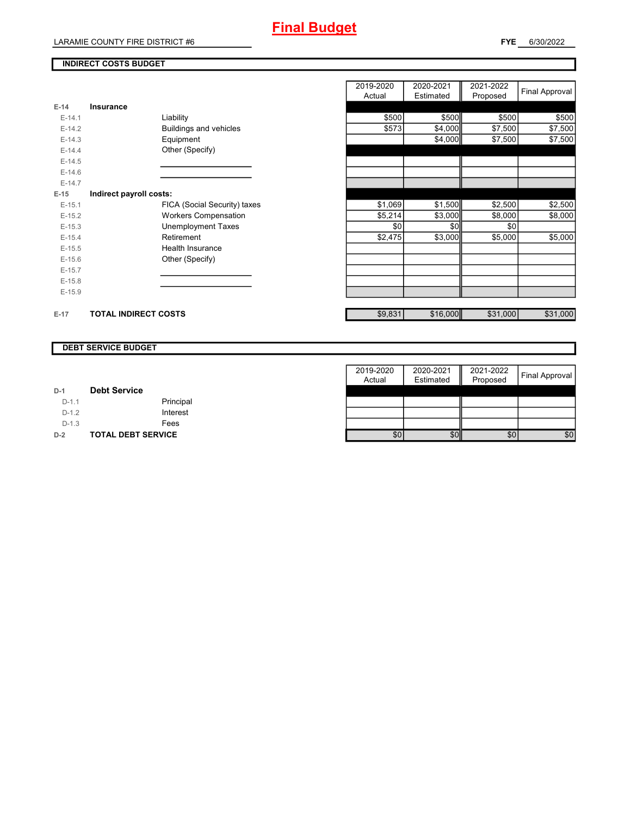## **INDIRECT COSTS BUDGET**

|          |                              | Actual  | Estimated | Proposed |          |
|----------|------------------------------|---------|-----------|----------|----------|
| $E-14$   | Insurance                    |         |           |          |          |
| $E-14.1$ | Liability                    | \$500   | \$500     | \$500    | \$500    |
| $E-14.2$ | Buildings and vehicles       | \$573   | \$4,000   | \$7,500  | \$7,500  |
| $E-14.3$ | Equipment                    |         | \$4,000   | \$7,500  | \$7,500  |
| $E-14.4$ | Other (Specify)              |         |           |          |          |
| $E-14.5$ |                              |         |           |          |          |
| $E-14.6$ |                              |         |           |          |          |
| $E-14.7$ |                              |         |           |          |          |
| $E-15$   | Indirect payroll costs:      |         |           |          |          |
| $E-15.1$ | FICA (Social Security) taxes | \$1,069 | \$1,500   | \$2,500  | \$2,500  |
| $E-15.2$ | <b>Workers Compensation</b>  | \$5,214 | \$3,000   | \$8,000  | \$8,000  |
| $E-15.3$ | <b>Unemployment Taxes</b>    | \$0     | \$0       | \$0      |          |
| $E-15.4$ | Retirement                   | \$2,475 | \$3,000   | \$5,000  | \$5,000  |
| $E-15.5$ | Health Insurance             |         |           |          |          |
| $E-15.6$ | Other (Specify)              |         |           |          |          |
| $E-15.7$ |                              |         |           |          |          |
| $E-15.8$ |                              |         |           |          |          |
| $E-15.9$ |                              |         |           |          |          |
| $E-17$   | <b>TOTAL INDIRECT COSTS</b>  | \$9,831 | \$16,000  | \$31,000 | \$31,000 |

| 2019-2020<br>Actual | 2020-2021<br>Estimated | 2021-2022<br>Proposed | <b>Final Approval</b> |
|---------------------|------------------------|-----------------------|-----------------------|
|                     |                        |                       |                       |
| \$500               | \$500                  | \$500                 | \$500                 |
| \$573               | \$4,000                | \$7,500               | \$7,500               |
|                     | \$4,000                | \$7,500               | \$7,500               |
|                     |                        |                       |                       |
|                     |                        |                       |                       |
|                     |                        |                       |                       |
|                     |                        |                       |                       |
|                     |                        |                       |                       |
| \$1,069             | \$1,500                | \$2,500               | \$2,500               |
| \$5,214             | \$3,000                | \$8,000               | \$8,000               |
| \$0                 | \$0                    | \$0                   |                       |
| \$2,475             | \$3,000                | \$5,000               | \$5,000               |
|                     |                        |                       |                       |
|                     |                        |                       |                       |
|                     |                        |                       |                       |
|                     |                        |                       |                       |
|                     |                        |                       |                       |
|                     |                        |                       |                       |
| \$9,831             | \$16,000               | \$31,000              | \$31,000              |

#### **DEBT SERVICE BUDGET**

|         |                           | 2019-2020 | 2020-2021 | 2021-2022 |                |
|---------|---------------------------|-----------|-----------|-----------|----------------|
|         |                           | Actual    | Estimated | Proposed  | Final Approval |
| $D-1$   | <b>Debt Service</b>       |           |           |           |                |
| $D-1.1$ | Principal                 |           |           |           |                |
| $D-1.2$ | Interest                  |           |           |           |                |
| $D-1.3$ | Fees                      |           |           |           |                |
| $D-2$   | <b>TOTAL DEBT SERVICE</b> | \$0       | \$0       | \$0       | \$0            |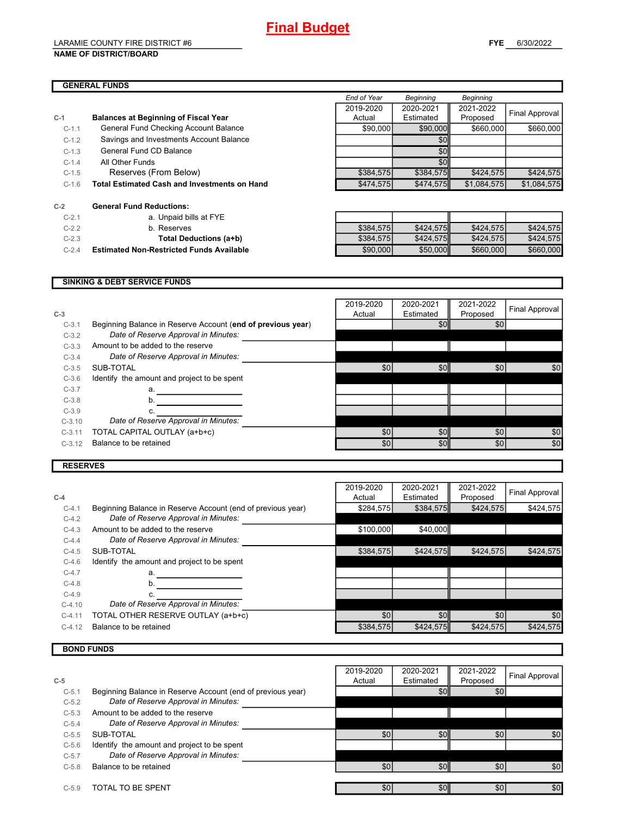#### LARAMIE COUNTY FIRE DISTRICT #6 **NAME OF DISTRICT/BOARD**

# **GENERAL FUNDS**

|         |                                                     | End of Year | <b>Beginning</b> | <b>Beginning</b> |                       |
|---------|-----------------------------------------------------|-------------|------------------|------------------|-----------------------|
|         |                                                     | 2019-2020   | 2020-2021        | 2021-2022        |                       |
| C-1     | <b>Balances at Beginning of Fiscal Year</b>         | Actual      | Estimated        | Proposed         | <b>Final Approval</b> |
| $C-1.1$ | General Fund Checking Account Balance               | \$90,000    | \$90,000         | \$660,000        | \$660,000             |
| $C-1.2$ | Savings and Investments Account Balance             |             | \$0 <sub>l</sub> |                  |                       |
| $C-1.3$ | General Fund CD Balance                             |             | \$0              |                  |                       |
| $C-1.4$ | All Other Funds                                     |             | \$0 <sub>l</sub> |                  |                       |
| $C-1.5$ | Reserves (From Below)                               | \$384,575   | \$384,575        | \$424.575        | \$424,575             |
| $C-1.6$ | <b>Total Estimated Cash and Investments on Hand</b> | \$474,575   | \$474.575        | \$1.084.575      | \$1.084.575           |

| $C-2$   | <b>General Fund Reductions:</b>               |
|---------|-----------------------------------------------|
| $C-2.1$ | a. Unpaid bills at FYE                        |
| $C-2.2$ | b. Reserves                                   |
| $C-2.3$ | <b>Total Deductions (a+b</b>                  |
| $C-2.4$ | <b>Estimated Non-Restricted Funds Availal</b> |

| $C-2.1$ | a. Unpaid bills at FYE                          |           |           |           |           |
|---------|-------------------------------------------------|-----------|-----------|-----------|-----------|
| $C-2.2$ | b. Reserves                                     | \$384.575 | \$424.575 | \$424.575 | \$424.575 |
| $C-2.3$ | Total Deductions (a+b)                          | \$384,575 | \$424.575 | \$424.575 | \$424,575 |
| $C-2.4$ | <b>Estimated Non-Restricted Funds Available</b> | \$90,000  | \$50,000  | \$660,000 | \$660,000 |

#### **SINKING & DEBT SERVICE FUNDS**

| $C-3$    |                                                             | 2019-2020<br>Actual | 2020-2021<br>Estimated | 2021-2022<br>Proposed | Final Approval |
|----------|-------------------------------------------------------------|---------------------|------------------------|-----------------------|----------------|
| $C-3.1$  | Beginning Balance in Reserve Account (end of previous year) |                     | \$0                    | \$0                   |                |
| $C-3.2$  | Date of Reserve Approval in Minutes:                        |                     |                        |                       |                |
| $C-3.3$  | Amount to be added to the reserve                           |                     |                        |                       |                |
| $C-3.4$  | Date of Reserve Approval in Minutes:                        |                     |                        |                       |                |
| $C-3.5$  | SUB-TOTAL                                                   | \$0                 | \$0                    | \$0                   | \$0            |
| $C-3.6$  | Identify the amount and project to be spent                 |                     |                        |                       |                |
| $C-3.7$  | a.                                                          |                     |                        |                       |                |
| $C-3.8$  | b.                                                          |                     |                        |                       |                |
| $C-3.9$  | c.                                                          |                     |                        |                       |                |
| $C-3.10$ | Date of Reserve Approval in Minutes:                        |                     |                        |                       |                |
| $C-3.11$ | TOTAL CAPITAL OUTLAY (a+b+c)                                | \$0                 | \$0                    | \$0                   | \$0            |
| $C-3.12$ | Balance to be retained                                      | \$0                 | \$0                    | \$0                   | \$0            |
|          |                                                             |                     |                        |                       |                |

#### **RESERVES**

| Beginning Balance in Reserve Account (end of previous year)<br>\$384,575<br>\$424,575<br>\$284,575<br>$C-4.1$<br>Date of Reserve Approval in Minutes:<br>$C-4.2$<br>\$40,000<br>Amount to be added to the reserve<br>\$100.000<br>$C-4.3$<br>Date of Reserve Approval in Minutes:<br>$C-4.4$<br>\$424,575<br>\$384,575<br>\$424.575<br>SUB-TOTAL<br>$C-4.5$<br>Identify the amount and project to be spent<br>$C-4.6$<br>$C-4.7$<br>a.<br>$C-4.8$<br>b.<br>$C-4.9$<br>Date of Reserve Approval in Minutes:<br>$C-4.10$<br>\$0<br>TOTAL OTHER RESERVE OUTLAY (a+b+c)<br>\$0<br>\$0<br>$C-4.11$<br>Balance to be retained<br>\$424,575<br>\$384,575<br>\$424,575<br>$C-4.12$ |       | 2019-2020 | 2020-2021 | 2021-2022 | Final Approval |
|----------------------------------------------------------------------------------------------------------------------------------------------------------------------------------------------------------------------------------------------------------------------------------------------------------------------------------------------------------------------------------------------------------------------------------------------------------------------------------------------------------------------------------------------------------------------------------------------------------------------------------------------------------------------------|-------|-----------|-----------|-----------|----------------|
|                                                                                                                                                                                                                                                                                                                                                                                                                                                                                                                                                                                                                                                                            | $C-4$ | Actual    | Estimated | Proposed  |                |
|                                                                                                                                                                                                                                                                                                                                                                                                                                                                                                                                                                                                                                                                            |       |           |           |           | \$424,575      |
|                                                                                                                                                                                                                                                                                                                                                                                                                                                                                                                                                                                                                                                                            |       |           |           |           |                |
|                                                                                                                                                                                                                                                                                                                                                                                                                                                                                                                                                                                                                                                                            |       |           |           |           |                |
|                                                                                                                                                                                                                                                                                                                                                                                                                                                                                                                                                                                                                                                                            |       |           |           |           |                |
|                                                                                                                                                                                                                                                                                                                                                                                                                                                                                                                                                                                                                                                                            |       |           |           |           | \$424.575      |
|                                                                                                                                                                                                                                                                                                                                                                                                                                                                                                                                                                                                                                                                            |       |           |           |           |                |
|                                                                                                                                                                                                                                                                                                                                                                                                                                                                                                                                                                                                                                                                            |       |           |           |           |                |
|                                                                                                                                                                                                                                                                                                                                                                                                                                                                                                                                                                                                                                                                            |       |           |           |           |                |
|                                                                                                                                                                                                                                                                                                                                                                                                                                                                                                                                                                                                                                                                            |       |           |           |           |                |
|                                                                                                                                                                                                                                                                                                                                                                                                                                                                                                                                                                                                                                                                            |       |           |           |           |                |
|                                                                                                                                                                                                                                                                                                                                                                                                                                                                                                                                                                                                                                                                            |       |           |           |           | \$0            |
|                                                                                                                                                                                                                                                                                                                                                                                                                                                                                                                                                                                                                                                                            |       |           |           |           | \$424,575      |

# **BOND FUNDS**

|         |                                                             | 2019-2020        | 2020-2021 | 2021-2022 | Final Approval |
|---------|-------------------------------------------------------------|------------------|-----------|-----------|----------------|
| $C-5$   |                                                             | Actual           | Estimated | Proposed  |                |
| $C-5.1$ | Beginning Balance in Reserve Account (end of previous year) |                  | \$0       | \$0       |                |
| $C-5.2$ | Date of Reserve Approval in Minutes:                        |                  |           |           |                |
| $C-5.3$ | Amount to be added to the reserve                           |                  |           |           |                |
| $C-5.4$ | Date of Reserve Approval in Minutes:                        |                  |           |           |                |
| $C-5.5$ | SUB-TOTAL                                                   | \$0              | \$0       | \$0       | \$0            |
| $C-5.6$ | Identify the amount and project to be spent                 |                  |           |           |                |
| $C-5.7$ | Date of Reserve Approval in Minutes:                        |                  |           |           |                |
| $C-5.8$ | Balance to be retained                                      | \$0              | \$0       | \$0       | \$0            |
|         |                                                             |                  |           |           |                |
| $C-5.9$ | TOTAL TO BE SPENT                                           | \$0 <sub>1</sub> | \$0       | \$0       | \$0            |